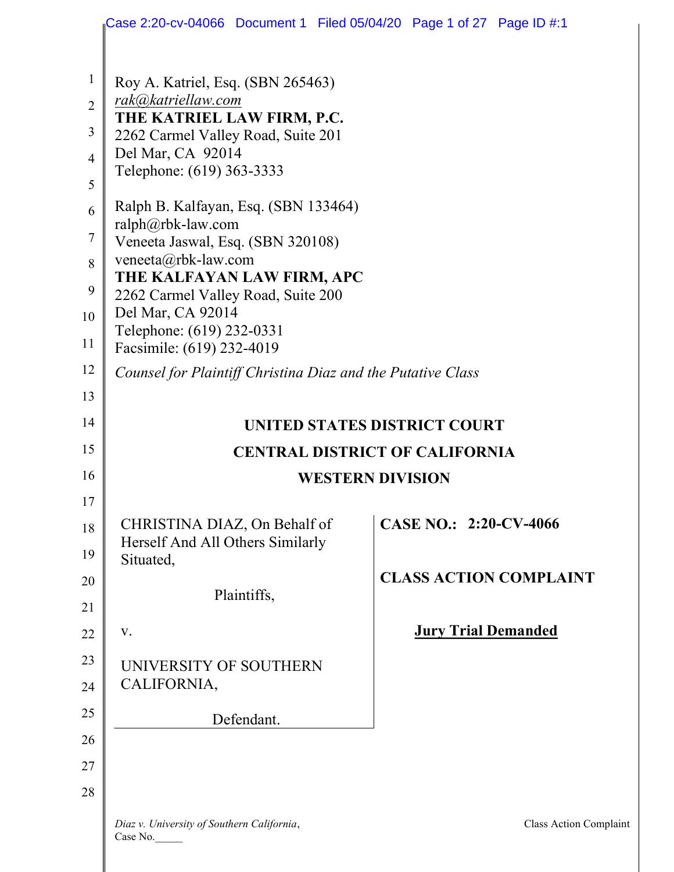|                | Case 2:20-cv-04066 Document 1 Filed 05/04/20 Page 1 of 27 Page ID #:1 |                               |
|----------------|-----------------------------------------------------------------------|-------------------------------|
| $\mathbf{1}$   | Roy A. Katriel, Esq. (SBN 265463)                                     |                               |
| $\overline{2}$ | rak@katriellaw.com                                                    |                               |
| 3              | THE KATRIEL LAW FIRM, P.C.                                            |                               |
| $\overline{4}$ | 2262 Carmel Valley Road, Suite 201<br>Del Mar, CA 92014               |                               |
|                | Telephone: (619) 363-3333                                             |                               |
| 5              |                                                                       |                               |
| 6              | Ralph B. Kalfayan, Esq. (SBN 133464)<br>ralph@rbk-law.com             |                               |
| $\overline{7}$ | Veneeta Jaswal, Esq. (SBN 320108)                                     |                               |
| 8              | veneeta@rbk-law.com                                                   |                               |
| 9              | THE KALFAYAN LAW FIRM, APC<br>2262 Carmel Valley Road, Suite 200      |                               |
| 10             | Del Mar, CA 92014                                                     |                               |
| 11             | Telephone: (619) 232-0331                                             |                               |
|                | Facsimile: (619) 232-4019                                             |                               |
| 12             | Counsel for Plaintiff Christina Diaz and the Putative Class           |                               |
| 13             |                                                                       |                               |
| 14             | UNITED STATES DISTRICT COURT                                          |                               |
| 15             | <b>CENTRAL DISTRICT OF CALIFORNIA</b>                                 |                               |
| 16             | <b>WESTERN DIVISION</b>                                               |                               |
| 17             |                                                                       |                               |
| 18             | CHRISTINA DIAZ, On Behalf of                                          | CASE NO.: 2:20-CV-4066        |
| 19             | Herself And All Others Similarly                                      |                               |
| 20             | Situated,                                                             | <b>CLASS ACTION COMPLAINT</b> |
|                | Plaintiffs,                                                           |                               |
| 21             |                                                                       |                               |
| 22             | V.                                                                    | <b>Jury Trial Demanded</b>    |
| 23             | UNIVERSITY OF SOUTHERN                                                |                               |
| 24             | CALIFORNIA,                                                           |                               |
| 25             | Defendant.                                                            |                               |
| 26             |                                                                       |                               |
| 27             |                                                                       |                               |
| 28             |                                                                       |                               |
|                |                                                                       |                               |
|                | Diaz v. University of Southern California,<br>Case No.                | Class Action Complaint        |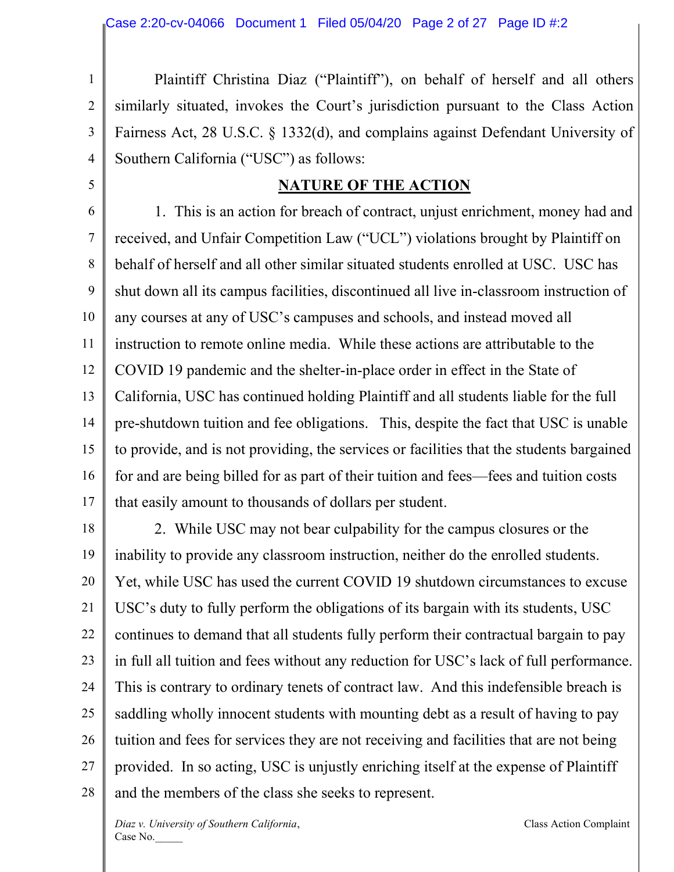1 2 3 4  $\overline{\phantom{a}}$  Plaintiff Christina Diaz ("Plaintiff"), on behalf of herself and all others similarly situated, invokes the Court's jurisdiction pursuant to the Class Action Fairness Act, 28 U.S.C. § 1332(d), and complains against Defendant University of Southern California ("USC") as follows:

#### **NATURE OF THE ACTION**

6 7 8 9 10 11 12 13 14 15 16 17 1. This is an action for breach of contract, unjust enrichment, money had and received, and Unfair Competition Law ("UCL") violations brought by Plaintiff on behalf of herself and all other similar situated students enrolled at USC. USC has shut down all its campus facilities, discontinued all live in-classroom instruction of any courses at any of USC's campuses and schools, and instead moved all instruction to remote online media. While these actions are attributable to the COVID 19 pandemic and the shelter-in-place order in effect in the State of California, USC has continued holding Plaintiff and all students liable for the full pre-shutdown tuition and fee obligations. This, despite the fact that USC is unable to provide, and is not providing, the services or facilities that the students bargained for and are being billed for as part of their tuition and fees—fees and tuition costs that easily amount to thousands of dollars per student.

18 19 20 21 22 23 24 25 26 27 28 2. While USC may not bear culpability for the campus closures or the inability to provide any classroom instruction, neither do the enrolled students. Yet, while USC has used the current COVID 19 shutdown circumstances to excuse USC's duty to fully perform the obligations of its bargain with its students, USC continues to demand that all students fully perform their contractual bargain to pay in full all tuition and fees without any reduction for USC's lack of full performance. This is contrary to ordinary tenets of contract law. And this indefensible breach is saddling wholly innocent students with mounting debt as a result of having to pay tuition and fees for services they are not receiving and facilities that are not being provided. In so acting, USC is unjustly enriching itself at the expense of Plaintiff and the members of the class she seeks to represent.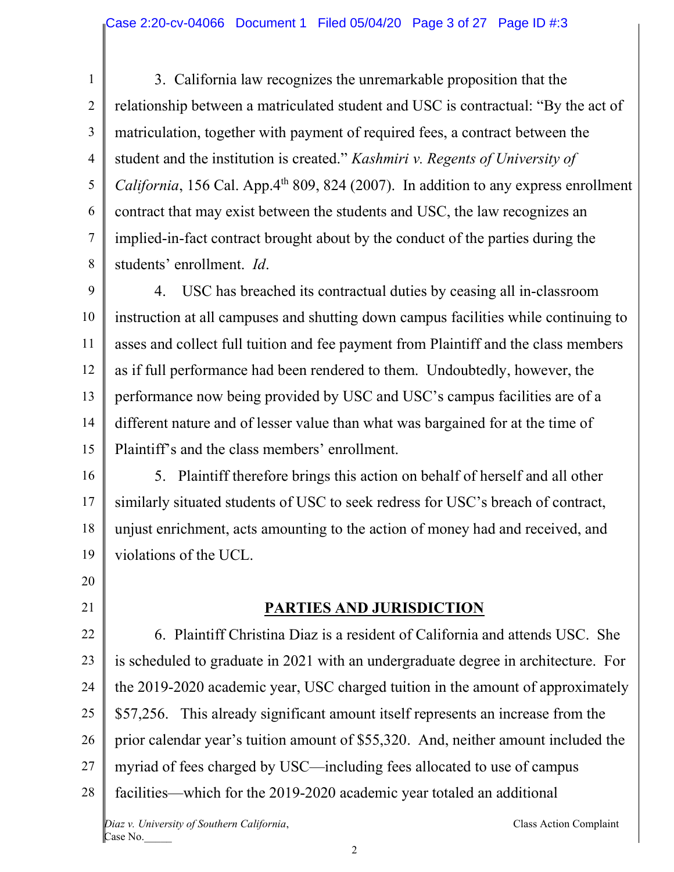1 2 3 4 5 6 7 8 3. California law recognizes the unremarkable proposition that the relationship between a matriculated student and USC is contractual: "By the act of matriculation, together with payment of required fees, a contract between the student and the institution is created." *Kashmiri v. Regents of University of California*, 156 Cal. App. $4<sup>th</sup>$  809, 824 (2007). In addition to any express enrollment contract that may exist between the students and USC, the law recognizes an implied-in-fact contract brought about by the conduct of the parties during the students' enrollment. *Id*.

9 10 11 12 13 14 15 4. USC has breached its contractual duties by ceasing all in-classroom instruction at all campuses and shutting down campus facilities while continuing to asses and collect full tuition and fee payment from Plaintiff and the class members as if full performance had been rendered to them. Undoubtedly, however, the performance now being provided by USC and USC's campus facilities are of a different nature and of lesser value than what was bargained for at the time of Plaintiff's and the class members' enrollment.

16 17 18 19 5. Plaintiff therefore brings this action on behalf of herself and all other similarly situated students of USC to seek redress for USC's breach of contract, unjust enrichment, acts amounting to the action of money had and received, and violations of the UCL.

20 21

# **PARTIES AND JURISDICTION**

22 23 24 25 26 27 28 *Diaz v. University of Southern California*, Class Action Complaint Case No. 6. Plaintiff Christina Diaz is a resident of California and attends USC. She is scheduled to graduate in 2021 with an undergraduate degree in architecture. For the 2019-2020 academic year, USC charged tuition in the amount of approximately \$57,256. This already significant amount itself represents an increase from the prior calendar year's tuition amount of \$55,320. And, neither amount included the myriad of fees charged by USC—including fees allocated to use of campus facilities—which for the 2019-2020 academic year totaled an additional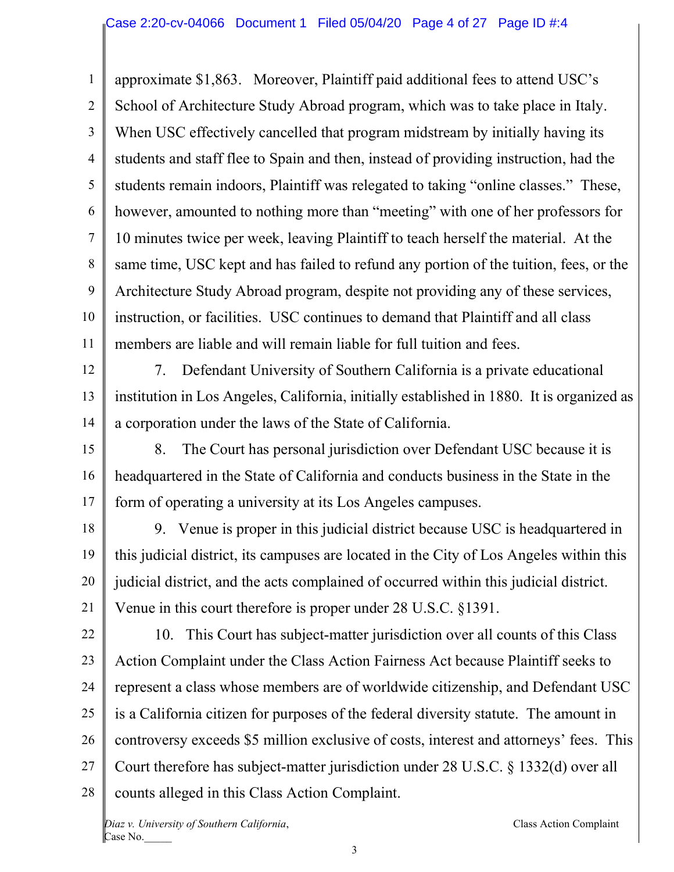1 2 3 4 5 6 7 8 9 10 11 approximate \$1,863. Moreover, Plaintiff paid additional fees to attend USC's School of Architecture Study Abroad program, which was to take place in Italy. When USC effectively cancelled that program midstream by initially having its students and staff flee to Spain and then, instead of providing instruction, had the students remain indoors, Plaintiff was relegated to taking "online classes." These, however, amounted to nothing more than "meeting" with one of her professors for 10 minutes twice per week, leaving Plaintiff to teach herself the material. At the same time, USC kept and has failed to refund any portion of the tuition, fees, or the Architecture Study Abroad program, despite not providing any of these services, instruction, or facilities. USC continues to demand that Plaintiff and all class members are liable and will remain liable for full tuition and fees.

12

13

14

7. Defendant University of Southern California is a private educational institution in Los Angeles, California, initially established in 1880. It is organized as a corporation under the laws of the State of California.

15 16 17 8. The Court has personal jurisdiction over Defendant USC because it is headquartered in the State of California and conducts business in the State in the form of operating a university at its Los Angeles campuses.

18 19 20 21 9. Venue is proper in this judicial district because USC is headquartered in this judicial district, its campuses are located in the City of Los Angeles within this judicial district, and the acts complained of occurred within this judicial district. Venue in this court therefore is proper under 28 U.S.C. §1391.

22 23 24 25 26 27 28 10. This Court has subject-matter jurisdiction over all counts of this Class Action Complaint under the Class Action Fairness Act because Plaintiff seeks to represent a class whose members are of worldwide citizenship, and Defendant USC is a California citizen for purposes of the federal diversity statute. The amount in controversy exceeds \$5 million exclusive of costs, interest and attorneys' fees. This Court therefore has subject-matter jurisdiction under 28 U.S.C. § 1332(d) over all counts alleged in this Class Action Complaint.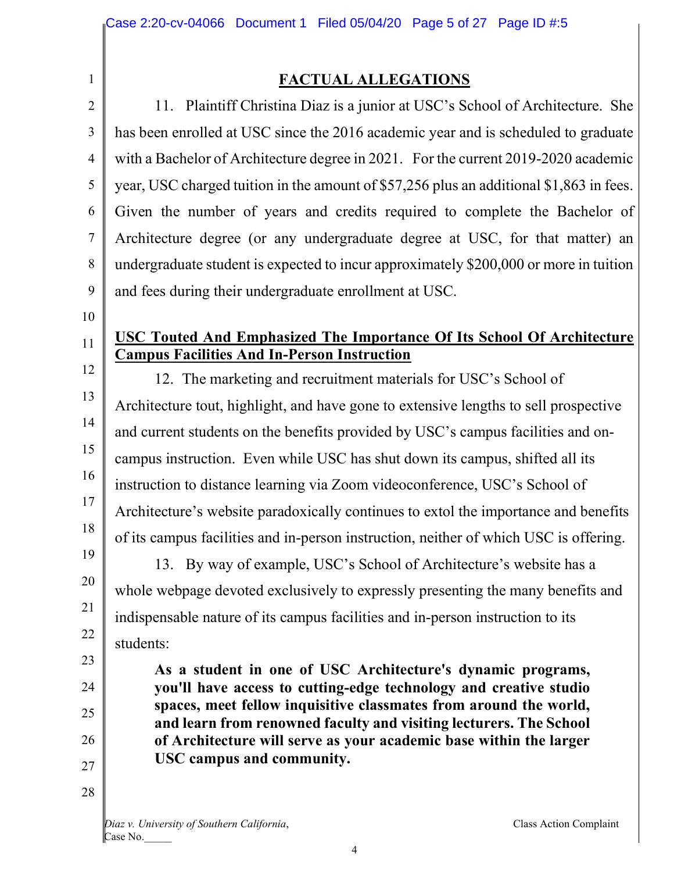1 2

# **FACTUAL ALLEGATIONS**

3 4 5 6 7 8 9 11. Plaintiff Christina Diaz is a junior at USC's School of Architecture. She has been enrolled at USC since the 2016 academic year and is scheduled to graduate with a Bachelor of Architecture degree in 2021. For the current 2019-2020 academic year, USC charged tuition in the amount of \$57,256 plus an additional \$1,863 in fees. Given the number of years and credits required to complete the Bachelor of Architecture degree (or any undergraduate degree at USC, for that matter) an undergraduate student is expected to incur approximately \$200,000 or more in tuition and fees during their undergraduate enrollment at USC.

10

11

21

23

24

25

26

27

28

# **USC Touted And Emphasized The Importance Of Its School Of Architecture Campus Facilities And In-Person Instruction**

12 13 14 15 16 17 18 19 12. The marketing and recruitment materials for USC's School of Architecture tout, highlight, and have gone to extensive lengths to sell prospective and current students on the benefits provided by USC's campus facilities and oncampus instruction. Even while USC has shut down its campus, shifted all its instruction to distance learning via Zoom videoconference, USC's School of Architecture's website paradoxically continues to extol the importance and benefits of its campus facilities and in-person instruction, neither of which USC is offering.

20 22 13. By way of example, USC's School of Architecture's website has a whole webpage devoted exclusively to expressly presenting the many benefits and indispensable nature of its campus facilities and in-person instruction to its students:

> **As a student in one of USC Architecture's dynamic programs, you'll have access to cutting-edge technology and creative studio spaces, meet fellow inquisitive classmates from around the world, and learn from renowned faculty and visiting lecturers. The School of Architecture will serve as your academic base within the larger USC campus and community.**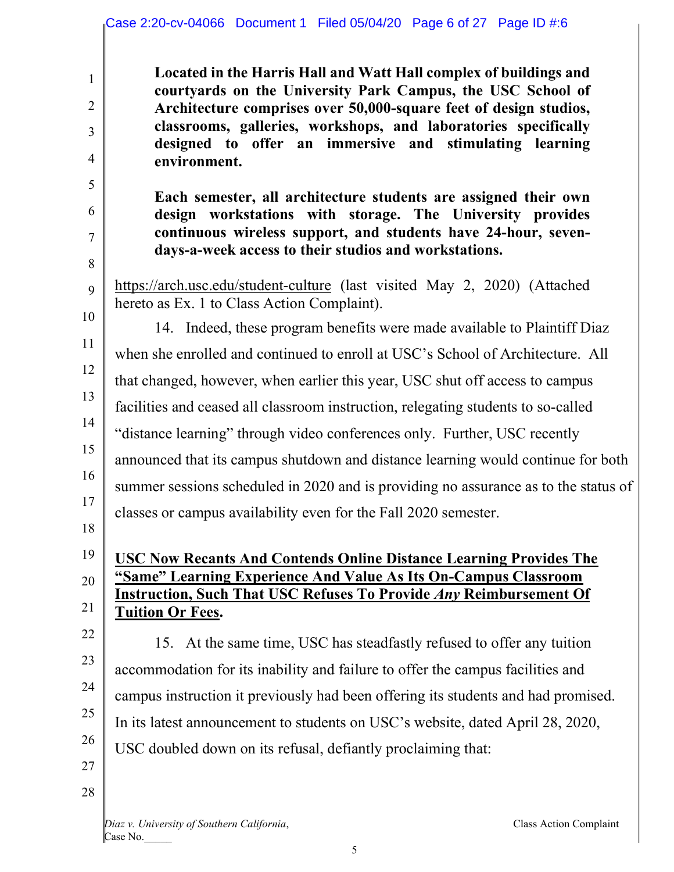|                                                       | Case 2:20-cv-04066 Document 1 Filed 05/04/20 Page 6 of 27 Page ID #:6                                                                                                                                                                                                                                                                               |
|-------------------------------------------------------|-----------------------------------------------------------------------------------------------------------------------------------------------------------------------------------------------------------------------------------------------------------------------------------------------------------------------------------------------------|
| $\mathbf{1}$<br>$\overline{2}$<br>3<br>$\overline{4}$ | Located in the Harris Hall and Watt Hall complex of buildings and<br>courtyards on the University Park Campus, the USC School of<br>Architecture comprises over 50,000-square feet of design studios,<br>classrooms, galleries, workshops, and laboratories specifically<br>designed to offer an immersive and stimulating learning<br>environment. |
| 5<br>6<br>7<br>8                                      | Each semester, all architecture students are assigned their own<br>design workstations with storage. The University provides<br>continuous wireless support, and students have 24-hour, seven-<br>days-a-week access to their studios and workstations.                                                                                             |
| 9<br>10                                               | https://arch.usc.edu/student-culture (last visited May 2, 2020) (Attached<br>hereto as Ex. 1 to Class Action Complaint).                                                                                                                                                                                                                            |
|                                                       | 14. Indeed, these program benefits were made available to Plaintiff Diaz                                                                                                                                                                                                                                                                            |
| 11                                                    | when she enrolled and continued to enroll at USC's School of Architecture. All                                                                                                                                                                                                                                                                      |
| 12                                                    | that changed, however, when earlier this year, USC shut off access to campus                                                                                                                                                                                                                                                                        |
| 13                                                    | facilities and ceased all classroom instruction, relegating students to so-called                                                                                                                                                                                                                                                                   |
| 14                                                    | "distance learning" through video conferences only. Further, USC recently                                                                                                                                                                                                                                                                           |
| 15                                                    | announced that its campus shutdown and distance learning would continue for both                                                                                                                                                                                                                                                                    |
| 16                                                    | summer sessions scheduled in 2020 and is providing no assurance as to the status of                                                                                                                                                                                                                                                                 |
| 17                                                    | classes or campus availability even for the Fall 2020 semester.                                                                                                                                                                                                                                                                                     |
| 18                                                    |                                                                                                                                                                                                                                                                                                                                                     |
| 19                                                    | <b>USC Now Recants And Contends Online Distance Learning Provides The</b>                                                                                                                                                                                                                                                                           |
| 20                                                    | <u>"Same" Learning Experience And Value As Its On-Campus Classroom</u><br><b>Instruction, Such That USC Refuses To Provide Any Reimbursement Of</b>                                                                                                                                                                                                 |
| 21                                                    | <b>Tuition Or Fees.</b>                                                                                                                                                                                                                                                                                                                             |
| 22                                                    | 15. At the same time, USC has steadfastly refused to offer any tuition                                                                                                                                                                                                                                                                              |
| 23                                                    | accommodation for its inability and failure to offer the campus facilities and                                                                                                                                                                                                                                                                      |
| 24                                                    | campus instruction it previously had been offering its students and had promised.                                                                                                                                                                                                                                                                   |
| 25                                                    | In its latest announcement to students on USC's website, dated April 28, 2020,                                                                                                                                                                                                                                                                      |
| 26                                                    | USC doubled down on its refusal, defiantly proclaiming that:                                                                                                                                                                                                                                                                                        |
| 27                                                    |                                                                                                                                                                                                                                                                                                                                                     |
| 28                                                    |                                                                                                                                                                                                                                                                                                                                                     |
|                                                       |                                                                                                                                                                                                                                                                                                                                                     |

*Diaz v. University of Southern California*, Class Action Complaint Case No.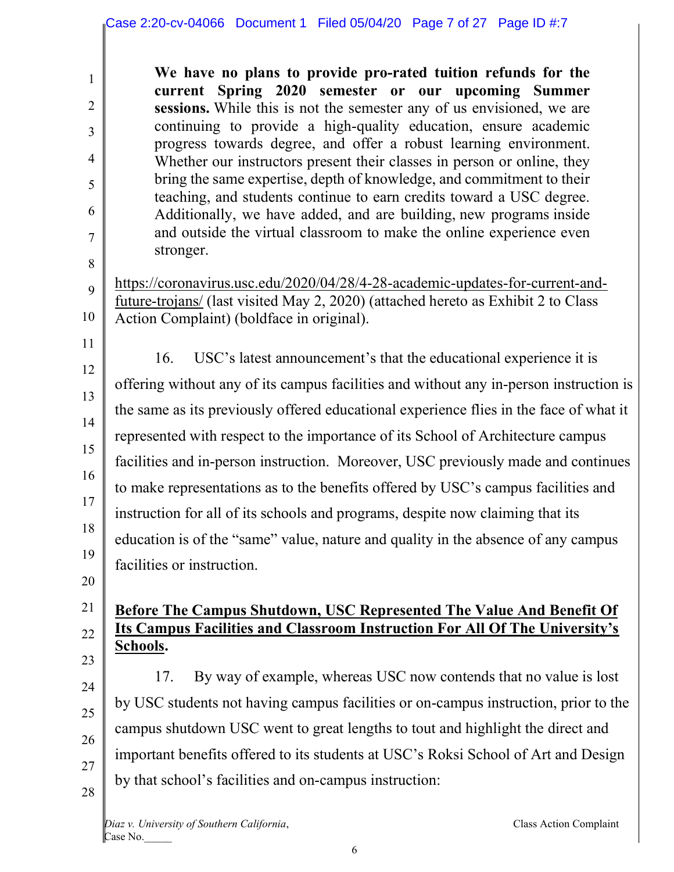**We have no plans to provide pro-rated tuition refunds for the current Spring 2020 semester or our upcoming Summer sessions.** While this is not the semester any of us envisioned, we are continuing to provide a high-quality education, ensure academic progress towards degree, and offer a robust learning environment. Whether our instructors present their classes in person or online, they bring the same expertise, depth of knowledge, and commitment to their teaching, and students continue to earn credits toward a USC degree. Additionally, we have added, and are building, new programs inside and outside the virtual classroom to make the online experience even stronger.

9 10 https://coronavirus.usc.edu/2020/04/28/4-28-academic-updates-for-current-andfuture-trojans/ (last visited May 2, 2020) (attached hereto as Exhibit 2 to Class Action Complaint) (boldface in original).

11 12 13 14 15 16 17 18 19 16. USC's latest announcement's that the educational experience it is offering without any of its campus facilities and without any in-person instruction is the same as its previously offered educational experience flies in the face of what it represented with respect to the importance of its School of Architecture campus facilities and in-person instruction. Moreover, USC previously made and continues to make representations as to the benefits offered by USC's campus facilities and instruction for all of its schools and programs, despite now claiming that its education is of the "same" value, nature and quality in the absence of any campus facilities or instruction.

20

1

2

3

4

5

6

7

8

#### 21 22 23 **Before The Campus Shutdown, USC Represented The Value And Benefit Of Its Campus Facilities and Classroom Instruction For All Of The University's Schools.**

24 25 26 27 28 17. By way of example, whereas USC now contends that no value is lost by USC students not having campus facilities or on-campus instruction, prior to the campus shutdown USC went to great lengths to tout and highlight the direct and important benefits offered to its students at USC's Roksi School of Art and Design by that school's facilities and on-campus instruction:

*Diaz v. University of Southern California*, Class Action Complaint Case No.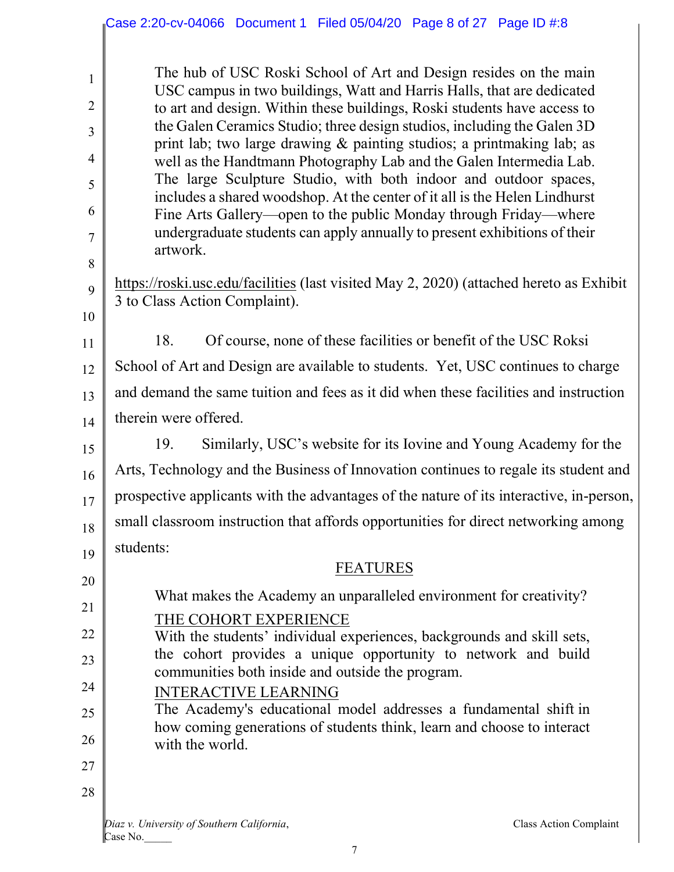The hub of USC Roski School of Art and Design resides on the main USC campus in two buildings, Watt and Harris Halls, that are dedicated to art and design. Within these buildings, Roski students have access to the Galen Ceramics Studio; three design studios, including the Galen 3D print lab; two large drawing & painting studios; a printmaking lab; as well as the Handtmann Photography Lab and the Galen Intermedia Lab. The large Sculpture Studio, with both indoor and outdoor spaces, includes a shared woodshop. At the center of it all is the Helen Lindhurst Fine Arts Gallery—open to the public Monday through Friday—where undergraduate students can apply annually to present exhibitions of their artwork.

https://roski.usc.edu/facilities (last visited May 2, 2020) (attached hereto as Exhibit 3 to Class Action Complaint).

18. Of course, none of these facilities or benefit of the USC Roksi

12 13 14 School of Art and Design are available to students. Yet, USC continues to charge and demand the same tuition and fees as it did when these facilities and instruction therein were offered.

15 16 17 18 19 19. Similarly, USC's website for its Iovine and Young Academy for the Arts, Technology and the Business of Innovation continues to regale its student and prospective applicants with the advantages of the nature of its interactive, in-person, small classroom instruction that affords opportunities for direct networking among students:

20 21 22 23 24 25 26 27 FEATURES What makes the Academy an unparalleled environment for creativity? THE COHORT EXPERIENCE With the students' individual experiences, backgrounds and skill sets, the cohort provides a unique opportunity to network and build communities both inside and outside the program. INTERACTIVE LEARNING The Academy's educational model addresses a fundamental shift in how coming generations of students think, learn and choose to interact with the world.

28

1

2

3

4

5

6

7

8

9

10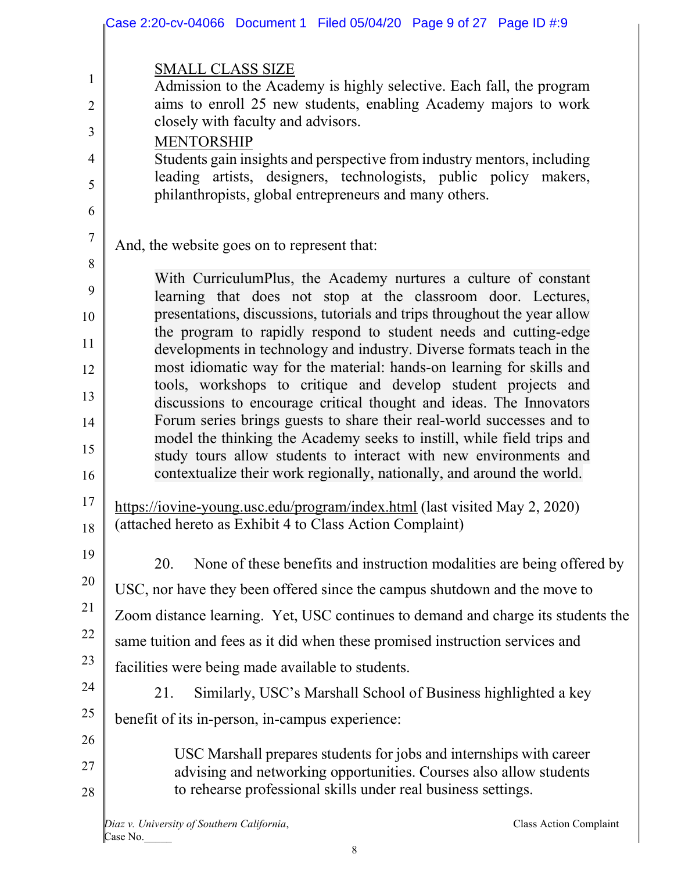|                                                        | Case 2:20-cv-04066 Document 1 Filed 05/04/20 Page 9 of 27 Page ID #:9                                                                                                                                                                                                                                                                                                                                                                                                                                                                                                                                                                                                                                                                                                                                                                                                       |
|--------------------------------------------------------|-----------------------------------------------------------------------------------------------------------------------------------------------------------------------------------------------------------------------------------------------------------------------------------------------------------------------------------------------------------------------------------------------------------------------------------------------------------------------------------------------------------------------------------------------------------------------------------------------------------------------------------------------------------------------------------------------------------------------------------------------------------------------------------------------------------------------------------------------------------------------------|
| $\mathbf{1}$<br>$\overline{2}$<br>3<br>4<br>5<br>6     | <b>SMALL CLASS SIZE</b><br>Admission to the Academy is highly selective. Each fall, the program<br>aims to enroll 25 new students, enabling Academy majors to work<br>closely with faculty and advisors.<br><b>MENTORSHIP</b><br>Students gain insights and perspective from industry mentors, including<br>leading artists, designers, technologists, public policy makers,<br>philanthropists, global entrepreneurs and many others.                                                                                                                                                                                                                                                                                                                                                                                                                                      |
| $\tau$                                                 | And, the website goes on to represent that:                                                                                                                                                                                                                                                                                                                                                                                                                                                                                                                                                                                                                                                                                                                                                                                                                                 |
| 8<br>9<br>10<br>11<br>12<br>13<br>14<br>15<br>16<br>17 | With CurriculumPlus, the Academy nurtures a culture of constant<br>learning that does not stop at the classroom door. Lectures,<br>presentations, discussions, tutorials and trips throughout the year allow<br>the program to rapidly respond to student needs and cutting-edge<br>developments in technology and industry. Diverse formats teach in the<br>most idiomatic way for the material: hands-on learning for skills and<br>tools, workshops to critique and develop student projects and<br>discussions to encourage critical thought and ideas. The Innovators<br>Forum series brings guests to share their real-world successes and to<br>model the thinking the Academy seeks to instill, while field trips and<br>study tours allow students to interact with new environments and<br>contextualize their work regionally, nationally, and around the world. |
| 18                                                     | https://iovine-young.usc.edu/program/index.html (last visited May 2, 2020)<br>(attached hereto as Exhibit 4 to Class Action Complaint)                                                                                                                                                                                                                                                                                                                                                                                                                                                                                                                                                                                                                                                                                                                                      |
| 19<br>20<br>21<br>22<br>23                             | None of these benefits and instruction modalities are being offered by<br>20.<br>USC, nor have they been offered since the campus shutdown and the move to<br>Zoom distance learning. Yet, USC continues to demand and charge its students the<br>same tuition and fees as it did when these promised instruction services and<br>facilities were being made available to students.                                                                                                                                                                                                                                                                                                                                                                                                                                                                                         |
| 24                                                     | Similarly, USC's Marshall School of Business highlighted a key<br>21.                                                                                                                                                                                                                                                                                                                                                                                                                                                                                                                                                                                                                                                                                                                                                                                                       |
| 25                                                     | benefit of its in-person, in-campus experience:                                                                                                                                                                                                                                                                                                                                                                                                                                                                                                                                                                                                                                                                                                                                                                                                                             |
| 26<br>27<br>28                                         | USC Marshall prepares students for jobs and internships with career<br>advising and networking opportunities. Courses also allow students<br>to rehearse professional skills under real business settings.                                                                                                                                                                                                                                                                                                                                                                                                                                                                                                                                                                                                                                                                  |
|                                                        | Diaz v. University of Southern California,<br><b>Class Action Complaint</b><br>Case No.                                                                                                                                                                                                                                                                                                                                                                                                                                                                                                                                                                                                                                                                                                                                                                                     |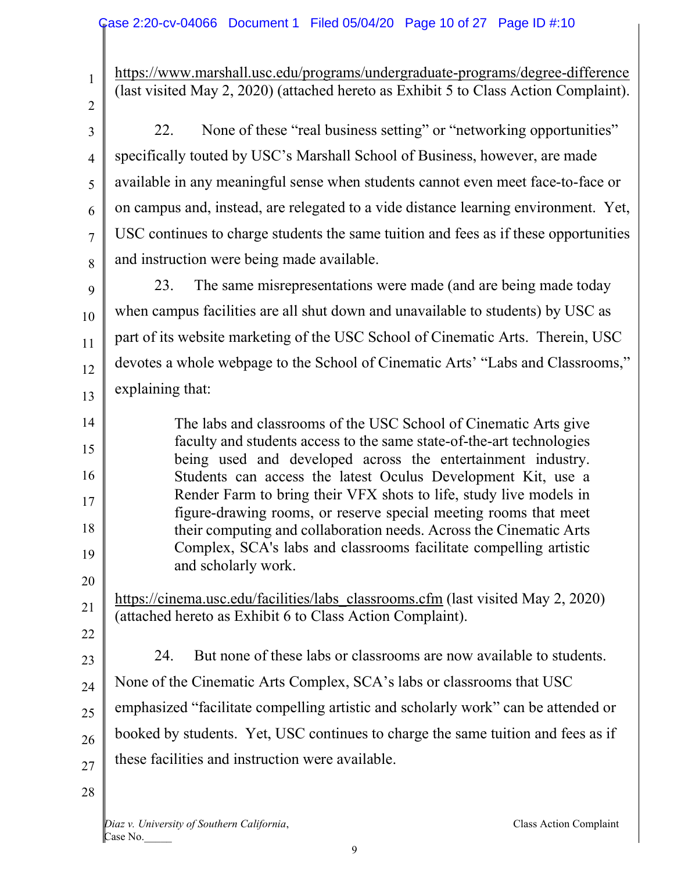| $\mathbf{1}$   | https://www.marshall.usc.edu/programs/undergraduate-programs/degree-difference                                                                |
|----------------|-----------------------------------------------------------------------------------------------------------------------------------------------|
|                | (last visited May 2, 2020) (attached hereto as Exhibit 5 to Class Action Complaint).                                                          |
| $\overline{2}$ |                                                                                                                                               |
| 3              | None of these "real business setting" or "networking opportunities"<br>22.                                                                    |
| $\overline{4}$ | specifically touted by USC's Marshall School of Business, however, are made                                                                   |
| 5              | available in any meaningful sense when students cannot even meet face-to-face or                                                              |
| 6              | on campus and, instead, are relegated to a vide distance learning environment. Yet,                                                           |
| $\overline{7}$ | USC continues to charge students the same tuition and fees as if these opportunities                                                          |
| 8              | and instruction were being made available.                                                                                                    |
| 9              | The same misrepresentations were made (and are being made today<br>23.                                                                        |
| 10             | when campus facilities are all shut down and unavailable to students) by USC as                                                               |
| 11             | part of its website marketing of the USC School of Cinematic Arts. Therein, USC                                                               |
| 12             | devotes a whole webpage to the School of Cinematic Arts' "Labs and Classrooms,"                                                               |
| 13             | explaining that:                                                                                                                              |
| 14             | The labs and classrooms of the USC School of Cinematic Arts give                                                                              |
| 15             | faculty and students access to the same state-of-the-art technologies                                                                         |
| 16             | being used and developed across the entertainment industry.<br>Students can access the latest Oculus Development Kit, use a                   |
| 17             | Render Farm to bring their VFX shots to life, study live models in                                                                            |
| 18             | figure-drawing rooms, or reserve special meeting rooms that meet<br>their computing and collaboration needs. Across the Cinematic Arts        |
| 19             | Complex, SCA's labs and classrooms facilitate compelling artistic<br>and scholarly work.                                                      |
| 20             |                                                                                                                                               |
| 21             | https://cinema.usc.edu/facilities/labs_classrooms.cfm (last visited May 2, 2020)<br>(attached hereto as Exhibit 6 to Class Action Complaint). |
| 22             |                                                                                                                                               |
| 23             | But none of these labs or classrooms are now available to students.<br>24.                                                                    |
| 24             | None of the Cinematic Arts Complex, SCA's labs or classrooms that USC                                                                         |
| 25             | emphasized "facilitate compelling artistic and scholarly work" can be attended or                                                             |
| 26             | booked by students. Yet, USC continues to charge the same tuition and fees as if                                                              |
| 27             | these facilities and instruction were available.                                                                                              |
| 28             |                                                                                                                                               |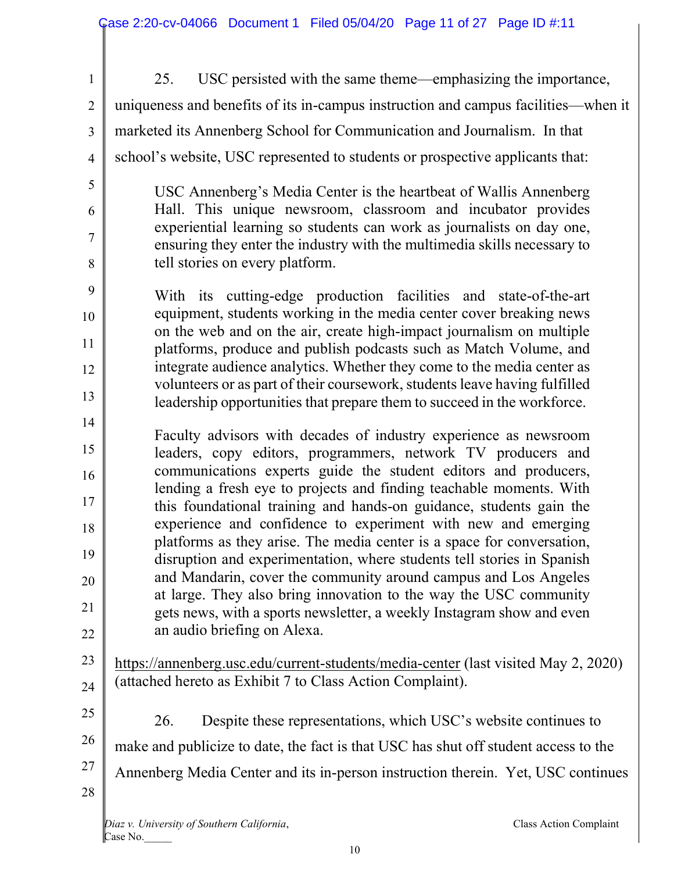| $\mathbf{1}$        | USC persisted with the same theme—emphasizing the importance,<br>25.                                                                                                                 |  |
|---------------------|--------------------------------------------------------------------------------------------------------------------------------------------------------------------------------------|--|
| $\overline{2}$      | uniqueness and benefits of its in-campus instruction and campus facilities—when it                                                                                                   |  |
| 3                   | marketed its Annenberg School for Communication and Journalism. In that                                                                                                              |  |
| $\overline{4}$      | school's website, USC represented to students or prospective applicants that:                                                                                                        |  |
| 5                   | USC Annenberg's Media Center is the heartbeat of Wallis Annenberg                                                                                                                    |  |
| 6                   | Hall. This unique newsroom, classroom and incubator provides                                                                                                                         |  |
| $\overline{7}$<br>8 | experiential learning so students can work as journalists on day one,<br>ensuring they enter the industry with the multimedia skills necessary to<br>tell stories on every platform. |  |
| 9                   |                                                                                                                                                                                      |  |
| 10                  | With its cutting-edge production facilities and state-of-the-art<br>equipment, students working in the media center cover breaking news                                              |  |
| 11                  | on the web and on the air, create high-impact journalism on multiple                                                                                                                 |  |
| 12                  | platforms, produce and publish podcasts such as Match Volume, and<br>integrate audience analytics. Whether they come to the media center as                                          |  |
| 13                  | volunteers or as part of their coursework, students leave having fulfilled                                                                                                           |  |
| 14                  | leadership opportunities that prepare them to succeed in the workforce.                                                                                                              |  |
| 15                  | Faculty advisors with decades of industry experience as newsroom                                                                                                                     |  |
| 16                  | leaders, copy editors, programmers, network TV producers and<br>communications experts guide the student editors and producers,                                                      |  |
| 17                  | lending a fresh eye to projects and finding teachable moments. With                                                                                                                  |  |
|                     | this foundational training and hands-on guidance, students gain the<br>experience and confidence to experiment with new and emerging                                                 |  |
| 18                  | platforms as they arise. The media center is a space for conversation,                                                                                                               |  |
| 19                  | disruption and experimentation, where students tell stories in Spanish<br>and Mandarin, cover the community around campus and Los Angeles                                            |  |
| 20                  | at large. They also bring innovation to the way the USC community                                                                                                                    |  |
| 21                  | gets news, with a sports newsletter, a weekly Instagram show and even                                                                                                                |  |
| 22                  | an audio briefing on Alexa.                                                                                                                                                          |  |
| 23                  | https://annenberg.usc.edu/current-students/media-center (last visited May 2, 2020)                                                                                                   |  |
| 24                  | (attached hereto as Exhibit 7 to Class Action Complaint).                                                                                                                            |  |
| 25                  | Despite these representations, which USC's website continues to<br>26.                                                                                                               |  |
| 26                  | make and publicize to date, the fact is that USC has shut off student access to the                                                                                                  |  |
| 27                  | Annenberg Media Center and its in-person instruction therein. Yet, USC continues                                                                                                     |  |
| 28                  |                                                                                                                                                                                      |  |
|                     | Diaz v. University of Southern California,<br>Class Action Complaint<br>Case No.                                                                                                     |  |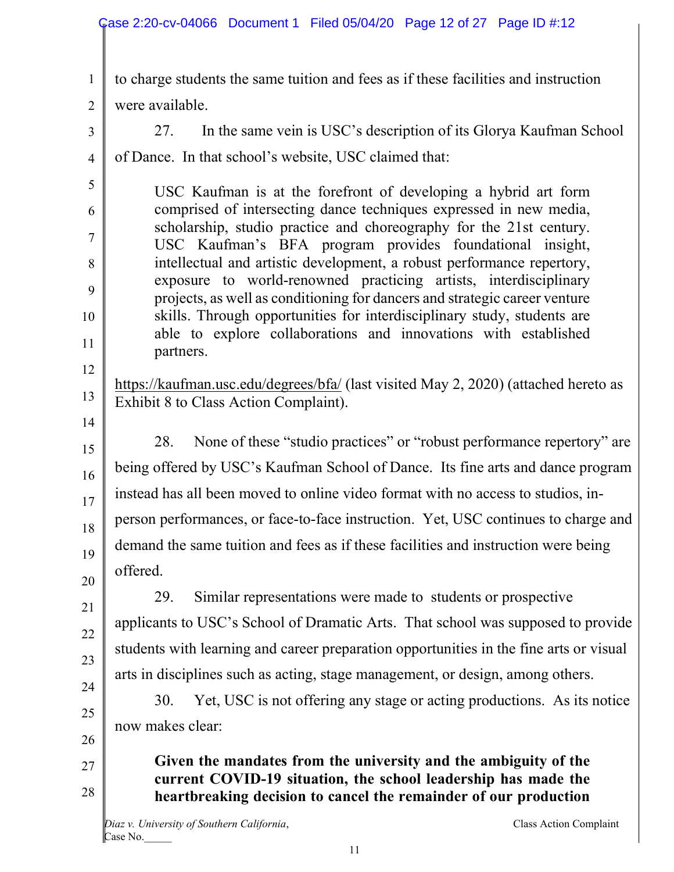|                | Case 2:20-cv-04066 Document 1 Filed 05/04/20 Page 12 of 27 Page ID #:12                                                                               |
|----------------|-------------------------------------------------------------------------------------------------------------------------------------------------------|
| $\mathbf{1}$   | to charge students the same tuition and fees as if these facilities and instruction                                                                   |
| $\overline{2}$ | were available.                                                                                                                                       |
| 3              | In the same vein is USC's description of its Glorya Kaufman School<br>27.                                                                             |
| $\overline{4}$ | of Dance. In that school's website, USC claimed that:                                                                                                 |
| 5              |                                                                                                                                                       |
| 6              | USC Kaufman is at the forefront of developing a hybrid art form<br>comprised of intersecting dance techniques expressed in new media,                 |
| 7              | scholarship, studio practice and choreography for the 21st century.                                                                                   |
| 8              | USC Kaufman's BFA program provides foundational insight,<br>intellectual and artistic development, a robust performance repertory,                    |
| 9              | exposure to world-renowned practicing artists, interdisciplinary                                                                                      |
| 10             | projects, as well as conditioning for dancers and strategic career venture<br>skills. Through opportunities for interdisciplinary study, students are |
| 11             | able to explore collaborations and innovations with established                                                                                       |
| 12             | partners.                                                                                                                                             |
| 13             | https://kaufman.usc.edu/degrees/bfa/ (last visited May 2, 2020) (attached hereto as<br>Exhibit 8 to Class Action Complaint).                          |
| 14<br>15       | None of these "studio practices" or "robust performance repertory" are<br>28.                                                                         |
| 16             | being offered by USC's Kaufman School of Dance. Its fine arts and dance program                                                                       |
| 17             | instead has all been moved to online video format with no access to studios, in-                                                                      |
| 18             | person performances, or face-to-face instruction. Yet, USC continues to charge and                                                                    |
| 19             | demand the same tuition and fees as if these facilities and instruction were being                                                                    |
| 20             | offered.                                                                                                                                              |
| 21             | Similar representations were made to students or prospective<br>29.                                                                                   |
| 22             | applicants to USC's School of Dramatic Arts. That school was supposed to provide                                                                      |
| 23             | students with learning and career preparation opportunities in the fine arts or visual                                                                |
| 24             | arts in disciplines such as acting, stage management, or design, among others.                                                                        |
| 25             | Yet, USC is not offering any stage or acting productions. As its notice<br>30.                                                                        |
| 26             | now makes clear:                                                                                                                                      |
| 27             | Given the mandates from the university and the ambiguity of the                                                                                       |
| 28             | current COVID-19 situation, the school leadership has made the                                                                                        |
|                | heartbreaking decision to cancel the remainder of our production                                                                                      |
|                | Diaz v. University of Southern California,<br>Class Action Complaint                                                                                  |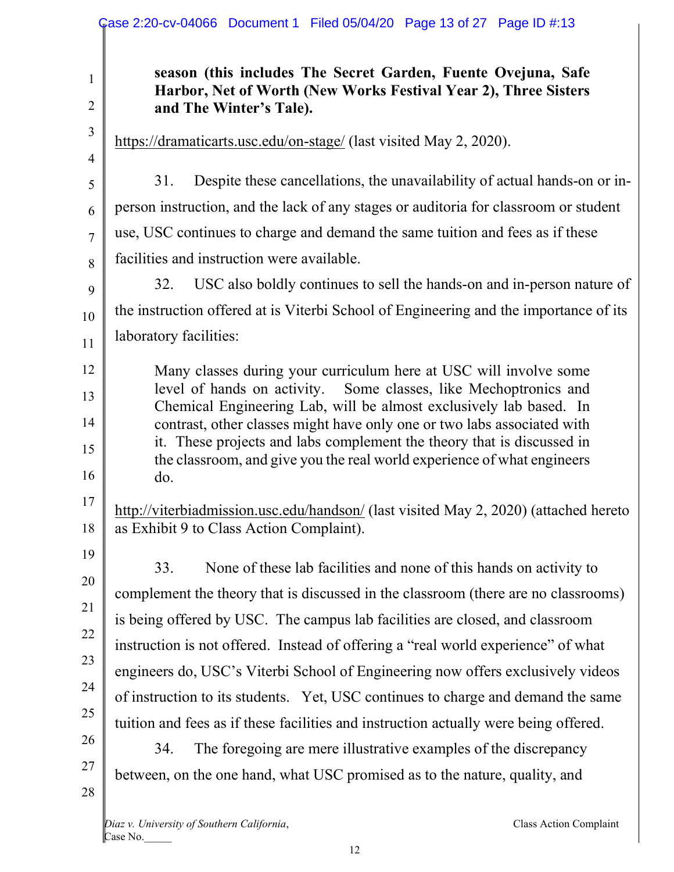|                                                    | Case 2:20-cv-04066 Document 1 Filed 05/04/20 Page 13 of 27 Page ID #:13                                                                                                                                                                                                                                                                                                                                                                                                                                                                                                                                                                                                                                                   |
|----------------------------------------------------|---------------------------------------------------------------------------------------------------------------------------------------------------------------------------------------------------------------------------------------------------------------------------------------------------------------------------------------------------------------------------------------------------------------------------------------------------------------------------------------------------------------------------------------------------------------------------------------------------------------------------------------------------------------------------------------------------------------------------|
| $\mathbf{1}$<br>2                                  | season (this includes The Secret Garden, Fuente Ovejuna, Safe<br>Harbor, Net of Worth (New Works Festival Year 2), Three Sisters<br>and The Winter's Tale).                                                                                                                                                                                                                                                                                                                                                                                                                                                                                                                                                               |
| $\mathfrak{Z}$<br>$\overline{4}$                   | https://dramaticarts.usc.edu/on-stage/ (last visited May 2, 2020).                                                                                                                                                                                                                                                                                                                                                                                                                                                                                                                                                                                                                                                        |
| 5                                                  | Despite these cancellations, the unavailability of actual hands-on or in-<br>31.<br>person instruction, and the lack of any stages or auditoria for classroom or student                                                                                                                                                                                                                                                                                                                                                                                                                                                                                                                                                  |
| 6<br>7<br>8                                        | use, USC continues to charge and demand the same tuition and fees as if these<br>facilities and instruction were available.                                                                                                                                                                                                                                                                                                                                                                                                                                                                                                                                                                                               |
| 9<br>10                                            | USC also boldly continues to sell the hands-on and in-person nature of<br>32.<br>the instruction offered at is Viterbi School of Engineering and the importance of its<br>laboratory facilities:                                                                                                                                                                                                                                                                                                                                                                                                                                                                                                                          |
| 11<br>12<br>13<br>14<br>15<br>16<br>17             | Many classes during your curriculum here at USC will involve some<br>level of hands on activity. Some classes, like Mechoptronics and<br>Chemical Engineering Lab, will be almost exclusively lab based. In<br>contrast, other classes might have only one or two labs associated with<br>it. These projects and labs complement the theory that is discussed in<br>the classroom, and give you the real world experience of what engineers<br>do.<br>http://viterbiadmission.usc.edu/handson/ (last visited May 2, 2020) (attached hereto                                                                                                                                                                                |
| 18<br>19<br>20<br>21<br>22<br>23<br>24<br>25<br>26 | as Exhibit 9 to Class Action Complaint).<br>None of these lab facilities and none of this hands on activity to<br>33.<br>complement the theory that is discussed in the classroom (there are no classrooms)<br>is being offered by USC. The campus lab facilities are closed, and classroom<br>instruction is not offered. Instead of offering a "real world experience" of what<br>engineers do, USC's Viterbi School of Engineering now offers exclusively videos<br>of instruction to its students. Yet, USC continues to charge and demand the same<br>tuition and fees as if these facilities and instruction actually were being offered.<br>The foregoing are mere illustrative examples of the discrepancy<br>34. |
| 27<br>28                                           | between, on the one hand, what USC promised as to the nature, quality, and                                                                                                                                                                                                                                                                                                                                                                                                                                                                                                                                                                                                                                                |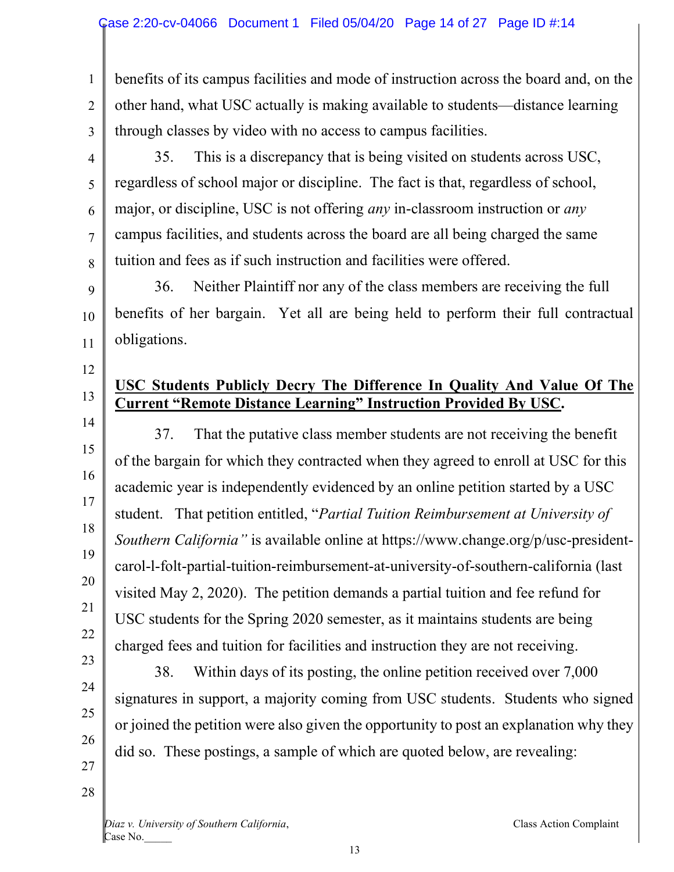1 2 3 benefits of its campus facilities and mode of instruction across the board and, on the other hand, what USC actually is making available to students—distance learning through classes by video with no access to campus facilities.

4

5

6

7

8

11

12

13

14

15

16

17

18

19

20

21

22

23

24

25

26

35. This is a discrepancy that is being visited on students across USC, regardless of school major or discipline. The fact is that, regardless of school, major, or discipline, USC is not offering *any* in-classroom instruction or *any* campus facilities, and students across the board are all being charged the same tuition and fees as if such instruction and facilities were offered.

9 10 36. Neither Plaintiff nor any of the class members are receiving the full benefits of her bargain. Yet all are being held to perform their full contractual obligations.

# **USC Students Publicly Decry The Difference In Quality And Value Of The Current "Remote Distance Learning" Instruction Provided By USC.**

37. That the putative class member students are not receiving the benefit of the bargain for which they contracted when they agreed to enroll at USC for this academic year is independently evidenced by an online petition started by a USC student. That petition entitled, "*Partial Tuition Reimbursement at University of Southern California"* is available online at https://www.change.org/p/usc-presidentcarol-l-folt-partial-tuition-reimbursement-at-university-of-southern-california (last visited May 2, 2020). The petition demands a partial tuition and fee refund for USC students for the Spring 2020 semester, as it maintains students are being charged fees and tuition for facilities and instruction they are not receiving.

38. Within days of its posting, the online petition received over 7,000 signatures in support, a majority coming from USC students. Students who signed or joined the petition were also given the opportunity to post an explanation why they did so. These postings, a sample of which are quoted below, are revealing:

28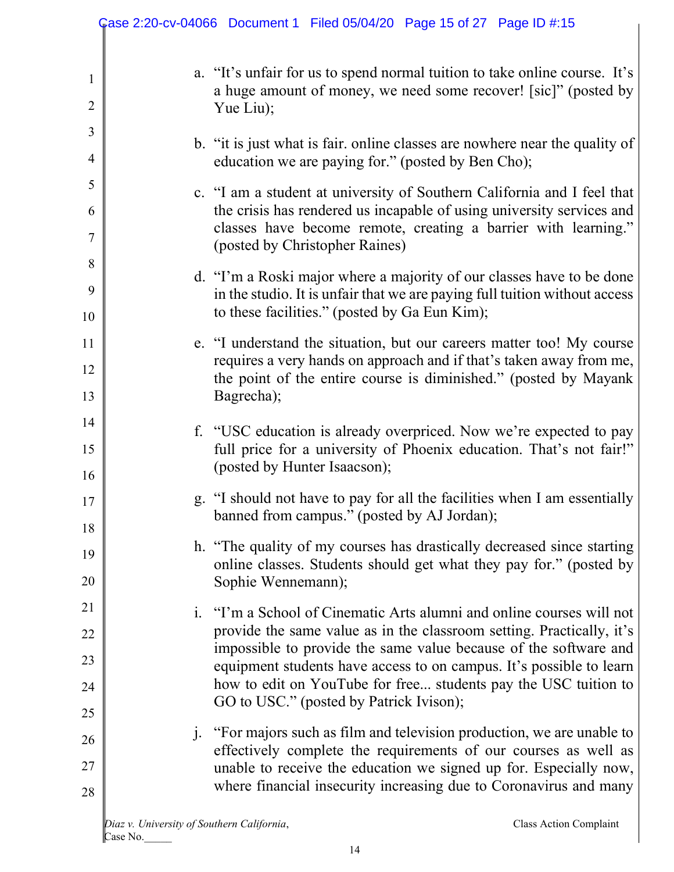|                     | Case 2:20-cv-04066 Document 1 Filed 05/04/20 Page 15 of 27 Page ID #:15                                                                                                                                                                              |
|---------------------|------------------------------------------------------------------------------------------------------------------------------------------------------------------------------------------------------------------------------------------------------|
| 1<br>$\overline{2}$ | a. "It's unfair for us to spend normal tuition to take online course. It's<br>a huge amount of money, we need some recover! [sic]" (posted by<br>Yue Liu);                                                                                           |
| 3<br>$\overline{4}$ | b. "it is just what is fair. online classes are nowhere near the quality of<br>education we are paying for." (posted by Ben Cho);                                                                                                                    |
| 5<br>6<br>7         | c. "I am a student at university of Southern California and I feel that<br>the crisis has rendered us incapable of using university services and<br>classes have become remote, creating a barrier with learning."<br>(posted by Christopher Raines) |
| 8<br>9<br>10        | d. "I'm a Roski major where a majority of our classes have to be done<br>in the studio. It is unfair that we are paying full tuition without access<br>to these facilities." (posted by Ga Eun Kim);                                                 |
| 11<br>12<br>13      | e. "I understand the situation, but our careers matter too! My course<br>requires a very hands on approach and if that's taken away from me,<br>the point of the entire course is diminished." (posted by Mayank<br>Bagrecha);                       |
| 14<br>15<br>16      | f. "USC education is already overpriced. Now we're expected to pay<br>full price for a university of Phoenix education. That's not fair!"<br>(posted by Hunter Isaacson);                                                                            |
| 17<br>18            | g. "I should not have to pay for all the facilities when I am essentially<br>banned from campus." (posted by AJ Jordan);                                                                                                                             |
| 19<br>20            | h. "The quality of my courses has drastically decreased since starting<br>online classes. Students should get what they pay for." (posted by<br>Sophie Wennemann);                                                                                   |
| 21<br>22            | i. "I'm a School of Cinematic Arts alumni and online courses will not<br>provide the same value as in the classroom setting. Practically, it's                                                                                                       |
| 23<br>24            | impossible to provide the same value because of the software and<br>equipment students have access to on campus. It's possible to learn<br>how to edit on YouTube for free students pay the USC tuition to                                           |
| 25                  | GO to USC." (posted by Patrick Ivison);<br>"For majors such as film and television production, we are unable to<br>$j_{\cdot}$                                                                                                                       |
| 26<br>27<br>28      | effectively complete the requirements of our courses as well as<br>unable to receive the education we signed up for. Especially now,<br>where financial insecurity increasing due to Coronavirus and many                                            |
|                     | Diaz v. University of Southern California,<br>Class Action Complaint                                                                                                                                                                                 |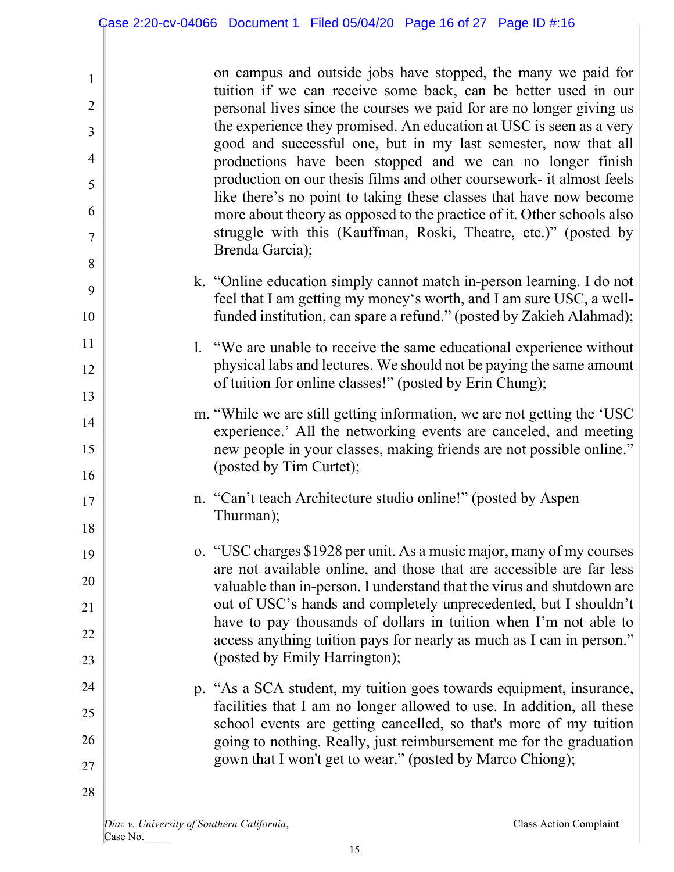| $\mathbf{1}$   | on campus and outside jobs have stopped, the many we paid for                                                                                                                                                        |
|----------------|----------------------------------------------------------------------------------------------------------------------------------------------------------------------------------------------------------------------|
| $\overline{2}$ | tuition if we can receive some back, can be better used in our<br>personal lives since the courses we paid for are no longer giving us                                                                               |
| 3              | the experience they promised. An education at USC is seen as a very                                                                                                                                                  |
| $\overline{4}$ | good and successful one, but in my last semester, now that all<br>productions have been stopped and we can no longer finish                                                                                          |
| 5              | production on our thesis films and other coursework- it almost feels                                                                                                                                                 |
| 6              | like there's no point to taking these classes that have now become<br>more about theory as opposed to the practice of it. Other schools also                                                                         |
| 7              | struggle with this (Kauffman, Roski, Theatre, etc.)" (posted by                                                                                                                                                      |
| 8              | Brenda Garcia);                                                                                                                                                                                                      |
| 9<br>10        | k. "Online education simply cannot match in-person learning. I do not<br>feel that I am getting my money's worth, and I am sure USC, a well-<br>funded institution, can spare a refund." (posted by Zakieh Alahmad); |
| 11             | 1. "We are unable to receive the same educational experience without                                                                                                                                                 |
| 12             | physical labs and lectures. We should not be paying the same amount                                                                                                                                                  |
| 13             | of tuition for online classes!" (posted by Erin Chung);                                                                                                                                                              |
| 14             | m. "While we are still getting information, we are not getting the 'USC                                                                                                                                              |
| 15             | experience.' All the networking events are canceled, and meeting<br>new people in your classes, making friends are not possible online."<br>(posted by Tim Curtet);                                                  |
| 16             |                                                                                                                                                                                                                      |
| 17<br>18       | n. "Can't teach Architecture studio online!" (posted by Aspen<br>Thurman);                                                                                                                                           |
| 19             | o. "USC charges \$1928 per unit. As a music major, many of my courses                                                                                                                                                |
| 20             | are not available online, and those that are accessible are far less                                                                                                                                                 |
| 21             | valuable than in-person. I understand that the virus and shutdown are<br>out of USC's hands and completely unprecedented, but I shouldn't                                                                            |
| 22             | have to pay thousands of dollars in tuition when I'm not able to                                                                                                                                                     |
| 23             | access anything tuition pays for nearly as much as I can in person."<br>(posted by Emily Harrington);                                                                                                                |
| 24             | p. "As a SCA student, my tuition goes towards equipment, insurance,                                                                                                                                                  |
| 25             | facilities that I am no longer allowed to use. In addition, all these                                                                                                                                                |
| 26             | school events are getting cancelled, so that's more of my tuition<br>going to nothing. Really, just reimbursement me for the graduation                                                                              |
| 27             | gown that I won't get to wear." (posted by Marco Chiong);                                                                                                                                                            |
| 28             |                                                                                                                                                                                                                      |
|                |                                                                                                                                                                                                                      |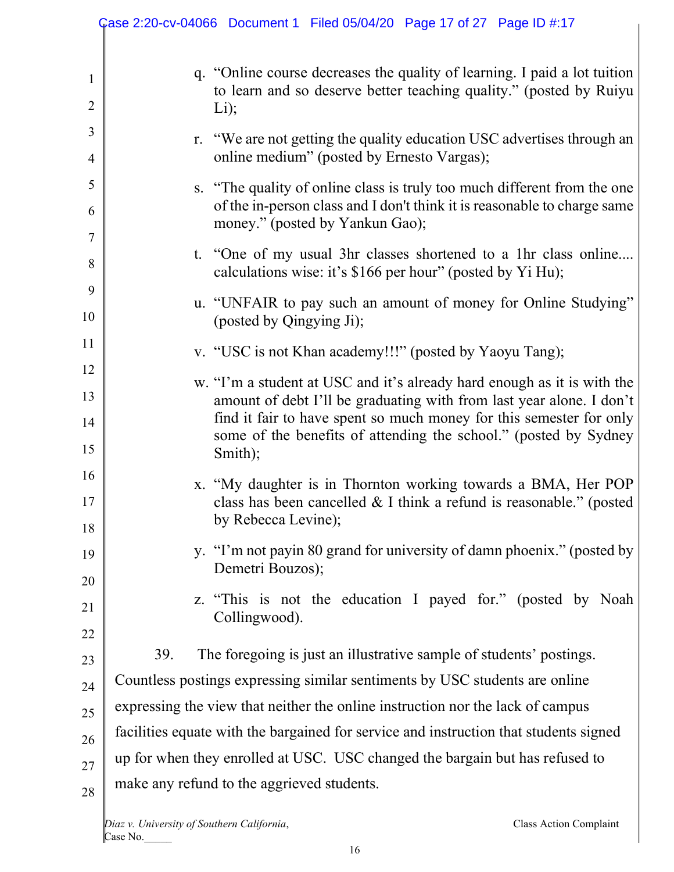|                                | Case 2:20-cv-04066 Document 1 Filed 05/04/20 Page 17 of 27 Page ID #:17                                                                                                                                                                                                                               |
|--------------------------------|-------------------------------------------------------------------------------------------------------------------------------------------------------------------------------------------------------------------------------------------------------------------------------------------------------|
| $\mathbf{1}$<br>$\overline{2}$ | q. "Online course decreases the quality of learning. I paid a lot tuition<br>to learn and so deserve better teaching quality." (posted by Ruiyu<br>$Li$ );                                                                                                                                            |
| 3<br>4                         | r. "We are not getting the quality education USC advertises through an<br>online medium" (posted by Ernesto Vargas);                                                                                                                                                                                  |
| 5<br>6                         | s. "The quality of online class is truly too much different from the one<br>of the in-person class and I don't think it is reasonable to charge same<br>money." (posted by Yankun Gao);                                                                                                               |
| 7<br>8                         | t. "One of my usual 3hr classes shortened to a 1hr class online<br>calculations wise: it's \$166 per hour" (posted by Yi Hu);                                                                                                                                                                         |
| 9<br>10                        | u. "UNFAIR to pay such an amount of money for Online Studying"<br>(posted by Qingying Ji);                                                                                                                                                                                                            |
| 11                             | v. "USC is not Khan academy!!!" (posted by Yaoyu Tang);                                                                                                                                                                                                                                               |
| 12<br>13<br>14<br>15           | w. "I'm a student at USC and it's already hard enough as it is with the<br>amount of debt I'll be graduating with from last year alone. I don't<br>find it fair to have spent so much money for this semester for only<br>some of the benefits of attending the school." (posted by Sydney<br>Smith); |
| 16<br>17<br>18                 | x. "My daughter is in Thornton working towards a BMA, Her POP<br>class has been cancelled & I think a refund is reasonable." (posted<br>by Rebecca Levine);                                                                                                                                           |
| 19<br>20                       | y. "I'm not payin 80 grand for university of damn phoenix." (posted by<br>Demetri Bouzos);                                                                                                                                                                                                            |
| 21                             | z. "This is not the education I payed for." (posted by Noah<br>Collingwood).                                                                                                                                                                                                                          |
| 22<br>23                       | The foregoing is just an illustrative sample of students' postings.<br>39.                                                                                                                                                                                                                            |
| 24                             | Countless postings expressing similar sentiments by USC students are online                                                                                                                                                                                                                           |
| 25                             | expressing the view that neither the online instruction nor the lack of campus                                                                                                                                                                                                                        |
| 26                             | facilities equate with the bargained for service and instruction that students signed                                                                                                                                                                                                                 |
| 27                             | up for when they enrolled at USC. USC changed the bargain but has refused to                                                                                                                                                                                                                          |
| 28                             | make any refund to the aggrieved students.                                                                                                                                                                                                                                                            |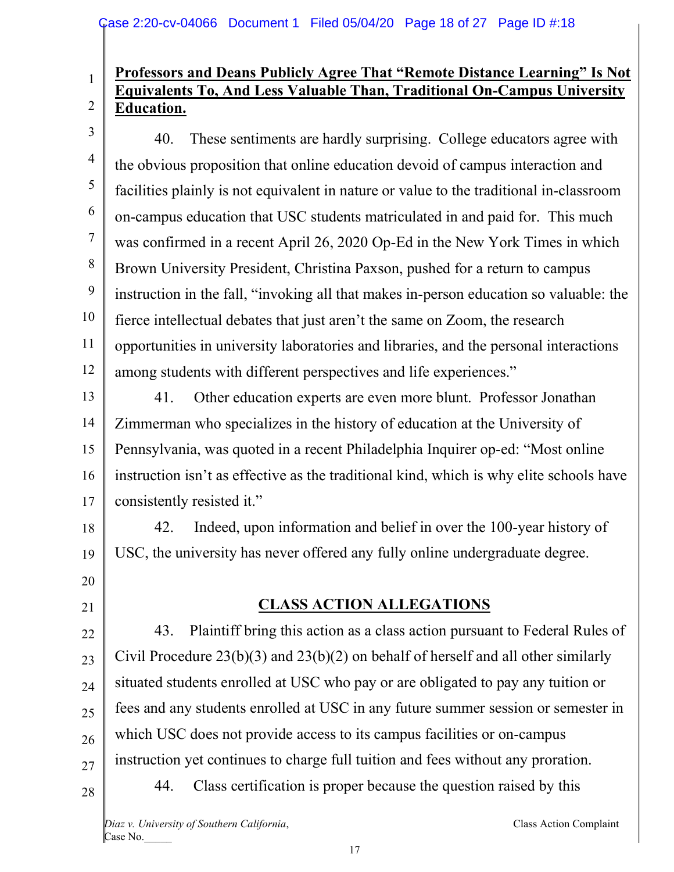#### 2 **Professors and Deans Publicly Agree That "Remote Distance Learning" Is Not Equivalents To, And Less Valuable Than, Traditional On-Campus University Education.**

3

1

4 5 6 7 8 9 10 11 12 40. These sentiments are hardly surprising. College educators agree with the obvious proposition that online education devoid of campus interaction and facilities plainly is not equivalent in nature or value to the traditional in-classroom on-campus education that USC students matriculated in and paid for. This much was confirmed in a recent April 26, 2020 Op-Ed in the New York Times in which Brown University President, Christina Paxson, pushed for a return to campus instruction in the fall, "invoking all that makes in-person education so valuable: the fierce intellectual debates that just aren't the same on Zoom, the research opportunities in university laboratories and libraries, and the personal interactions among students with different perspectives and life experiences."

13 14 15 16 17 41. Other education experts are even more blunt. Professor Jonathan Zimmerman who specializes in the history of education at the University of Pennsylvania, was quoted in a recent Philadelphia Inquirer op-ed: "Most online instruction isn't as effective as the traditional kind, which is why elite schools have consistently resisted it."

18 19 42. Indeed, upon information and belief in over the 100-year history of USC, the university has never offered any fully online undergraduate degree.

20 21

# **CLASS ACTION ALLEGATIONS**

22 23 24 25 26 27 28 43. Plaintiff bring this action as a class action pursuant to Federal Rules of Civil Procedure 23(b)(3) and 23(b)(2) on behalf of herself and all other similarly situated students enrolled at USC who pay or are obligated to pay any tuition or fees and any students enrolled at USC in any future summer session or semester in which USC does not provide access to its campus facilities or on-campus instruction yet continues to charge full tuition and fees without any proration. 44. Class certification is proper because the question raised by this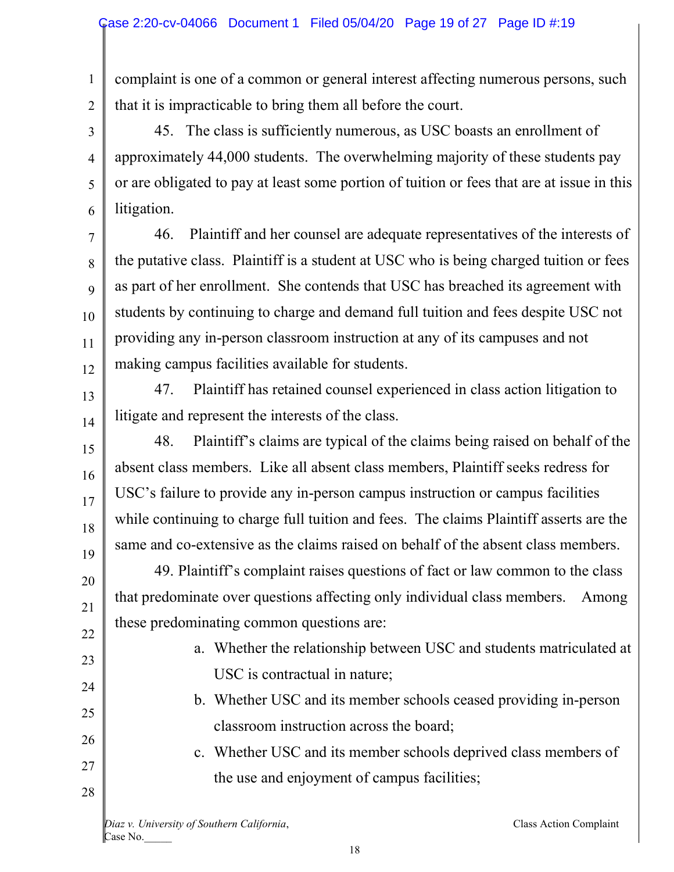1 2 complaint is one of a common or general interest affecting numerous persons, such that it is impracticable to bring them all before the court.

3

4

5

6

13

14

16

17

23

24

25

26

27

28

45. The class is sufficiently numerous, as USC boasts an enrollment of approximately 44,000 students. The overwhelming majority of these students pay or are obligated to pay at least some portion of tuition or fees that are at issue in this litigation.

7 8 9 10 11 12 46. Plaintiff and her counsel are adequate representatives of the interests of the putative class. Plaintiff is a student at USC who is being charged tuition or fees as part of her enrollment. She contends that USC has breached its agreement with students by continuing to charge and demand full tuition and fees despite USC not providing any in-person classroom instruction at any of its campuses and not making campus facilities available for students.

47. Plaintiff has retained counsel experienced in class action litigation to litigate and represent the interests of the class.

15 18 19 48. Plaintiff's claims are typical of the claims being raised on behalf of the absent class members. Like all absent class members, Plaintiff seeks redress for USC's failure to provide any in-person campus instruction or campus facilities while continuing to charge full tuition and fees. The claims Plaintiff asserts are the same and co-extensive as the claims raised on behalf of the absent class members.

20 21 22 49. Plaintiff's complaint raises questions of fact or law common to the class that predominate over questions affecting only individual class members. Among these predominating common questions are:

- a. Whether the relationship between USC and students matriculated at USC is contractual in nature;
	- b. Whether USC and its member schools ceased providing in-person classroom instruction across the board;
- c. Whether USC and its member schools deprived class members of the use and enjoyment of campus facilities;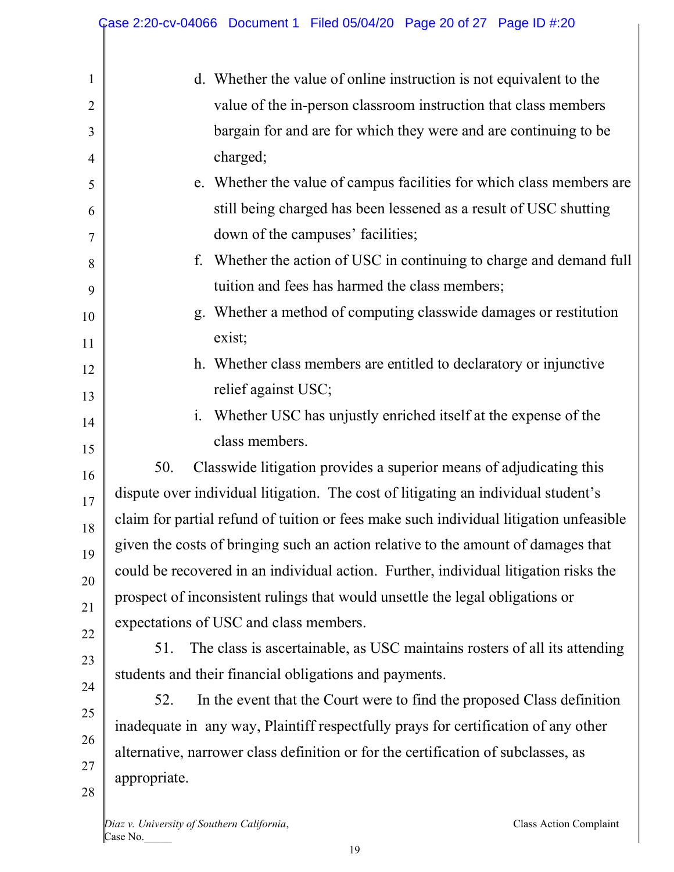|              | Case 2:20-cv-04066 Document 1 Filed 05/04/20 Page 20 of 27 Page ID #:20                |
|--------------|----------------------------------------------------------------------------------------|
| $\mathbf{1}$ | d. Whether the value of online instruction is not equivalent to the                    |
|              |                                                                                        |
| 2            | value of the in-person classroom instruction that class members                        |
| 3            | bargain for and are for which they were and are continuing to be                       |
| 4            | charged;                                                                               |
| 5            | e. Whether the value of campus facilities for which class members are                  |
| 6            | still being charged has been lessened as a result of USC shutting                      |
| 7            | down of the campuses' facilities;                                                      |
| 8            | f. Whether the action of USC in continuing to charge and demand full                   |
| 9            | tuition and fees has harmed the class members;                                         |
| 10           | g. Whether a method of computing classwide damages or restitution                      |
| 11           | exist;                                                                                 |
| 12           | h. Whether class members are entitled to declaratory or injunctive                     |
| 13           | relief against USC;                                                                    |
| 14           | Whether USC has unjustly enriched itself at the expense of the<br>$\mathbf{i}$ .       |
| 15           | class members.                                                                         |
| 16           | Classwide litigation provides a superior means of adjudicating this<br>50.             |
| 17           | dispute over individual litigation. The cost of litigating an individual student's     |
| 18           | claim for partial refund of tuition or fees make such individual litigation unfeasible |
| 19           | given the costs of bringing such an action relative to the amount of damages that      |
| 20           | could be recovered in an individual action. Further, individual litigation risks the   |
| 21           | prospect of inconsistent rulings that would unsettle the legal obligations or          |
| 22           | expectations of USC and class members.                                                 |
| 23           | 51.<br>The class is ascertainable, as USC maintains rosters of all its attending       |
| 24           | students and their financial obligations and payments.                                 |
| 25           | 52.<br>In the event that the Court were to find the proposed Class definition          |
| 26           | inadequate in any way, Plaintiff respectfully prays for certification of any other     |
| 27           | alternative, narrower class definition or for the certification of subclasses, as      |
| 28           | appropriate.                                                                           |
|              |                                                                                        |
|              | Class Action Complaint<br>Diaz v. University of Southern California,<br>Case No.       |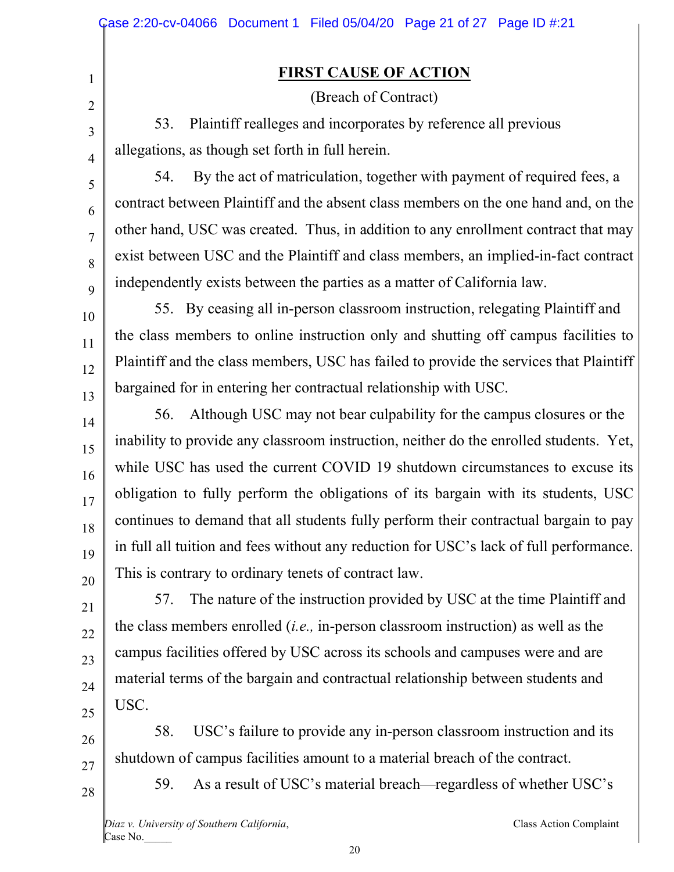### **FIRST CAUSE OF ACTION**

(Breach of Contract)

53. Plaintiff realleges and incorporates by reference all previous allegations, as though set forth in full herein.

54. By the act of matriculation, together with payment of required fees, a contract between Plaintiff and the absent class members on the one hand and, on the other hand, USC was created. Thus, in addition to any enrollment contract that may exist between USC and the Plaintiff and class members, an implied-in-fact contract independently exists between the parties as a matter of California law.

55. By ceasing all in-person classroom instruction, relegating Plaintiff and the class members to online instruction only and shutting off campus facilities to Plaintiff and the class members, USC has failed to provide the services that Plaintiff bargained for in entering her contractual relationship with USC.

14 15 16 17 18 19 20 56. Although USC may not bear culpability for the campus closures or the inability to provide any classroom instruction, neither do the enrolled students. Yet, while USC has used the current COVID 19 shutdown circumstances to excuse its obligation to fully perform the obligations of its bargain with its students, USC continues to demand that all students fully perform their contractual bargain to pay in full all tuition and fees without any reduction for USC's lack of full performance. This is contrary to ordinary tenets of contract law.

57. The nature of the instruction provided by USC at the time Plaintiff and the class members enrolled (*i.e.,* in-person classroom instruction) as well as the campus facilities offered by USC across its schools and campuses were and are material terms of the bargain and contractual relationship between students and USC.

26 27 58. USC's failure to provide any in-person classroom instruction and its shutdown of campus facilities amount to a material breach of the contract.

28

21

22

23

24

25

1

2

3

4

5

6

7

8

9

10

11

12

13

59. As a result of USC's material breach—regardless of whether USC's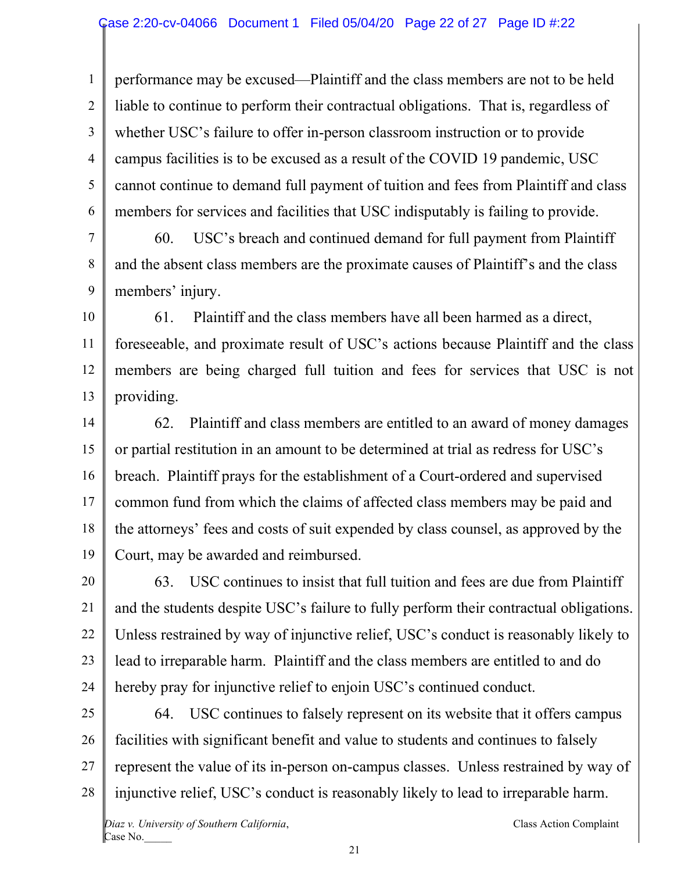1 2 3 4 5 6 performance may be excused—Plaintiff and the class members are not to be held liable to continue to perform their contractual obligations. That is, regardless of whether USC's failure to offer in-person classroom instruction or to provide campus facilities is to be excused as a result of the COVID 19 pandemic, USC cannot continue to demand full payment of tuition and fees from Plaintiff and class members for services and facilities that USC indisputably is failing to provide.

7 8 9 60. USC's breach and continued demand for full payment from Plaintiff and the absent class members are the proximate causes of Plaintiff's and the class members' injury.

10 11 12 13 61. Plaintiff and the class members have all been harmed as a direct, foreseeable, and proximate result of USC's actions because Plaintiff and the class members are being charged full tuition and fees for services that USC is not providing.

14 15 16 17 18 19 62. Plaintiff and class members are entitled to an award of money damages or partial restitution in an amount to be determined at trial as redress for USC's breach. Plaintiff prays for the establishment of a Court-ordered and supervised common fund from which the claims of affected class members may be paid and the attorneys' fees and costs of suit expended by class counsel, as approved by the Court, may be awarded and reimbursed.

20 21 22 23 24 63. USC continues to insist that full tuition and fees are due from Plaintiff and the students despite USC's failure to fully perform their contractual obligations. Unless restrained by way of injunctive relief, USC's conduct is reasonably likely to lead to irreparable harm. Plaintiff and the class members are entitled to and do hereby pray for injunctive relief to enjoin USC's continued conduct.

25 26 27 28 64. USC continues to falsely represent on its website that it offers campus facilities with significant benefit and value to students and continues to falsely represent the value of its in-person on-campus classes. Unless restrained by way of injunctive relief, USC's conduct is reasonably likely to lead to irreparable harm.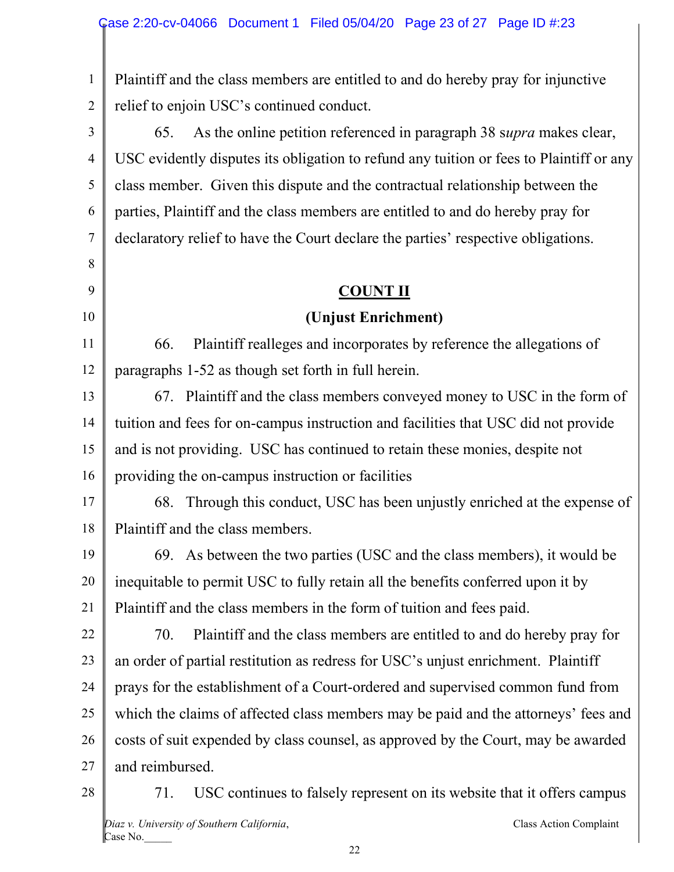1 2 Plaintiff and the class members are entitled to and do hereby pray for injunctive relief to enjoin USC's continued conduct.

3 4 5 6 7 65. As the online petition referenced in paragraph 38 s*upra* makes clear, USC evidently disputes its obligation to refund any tuition or fees to Plaintiff or any class member. Given this dispute and the contractual relationship between the parties, Plaintiff and the class members are entitled to and do hereby pray for declaratory relief to have the Court declare the parties' respective obligations.

#### **COUNT II**

### **(Unjust Enrichment)**

11 12 66. Plaintiff realleges and incorporates by reference the allegations of paragraphs 1-52 as though set forth in full herein.

13 14 15 16 67. Plaintiff and the class members conveyed money to USC in the form of tuition and fees for on-campus instruction and facilities that USC did not provide and is not providing. USC has continued to retain these monies, despite not providing the on-campus instruction or facilities

17 18 68. Through this conduct, USC has been unjustly enriched at the expense of Plaintiff and the class members.

19 20 21 69. As between the two parties (USC and the class members), it would be inequitable to permit USC to fully retain all the benefits conferred upon it by Plaintiff and the class members in the form of tuition and fees paid.

22 23 24 25 26 27 70. Plaintiff and the class members are entitled to and do hereby pray for an order of partial restitution as redress for USC's unjust enrichment. Plaintiff prays for the establishment of a Court-ordered and supervised common fund from which the claims of affected class members may be paid and the attorneys' fees and costs of suit expended by class counsel, as approved by the Court, may be awarded and reimbursed.

28

8

9

10

*Diaz v. University of Southern California*, Class Action Complaint Case No. 71. USC continues to falsely represent on its website that it offers campus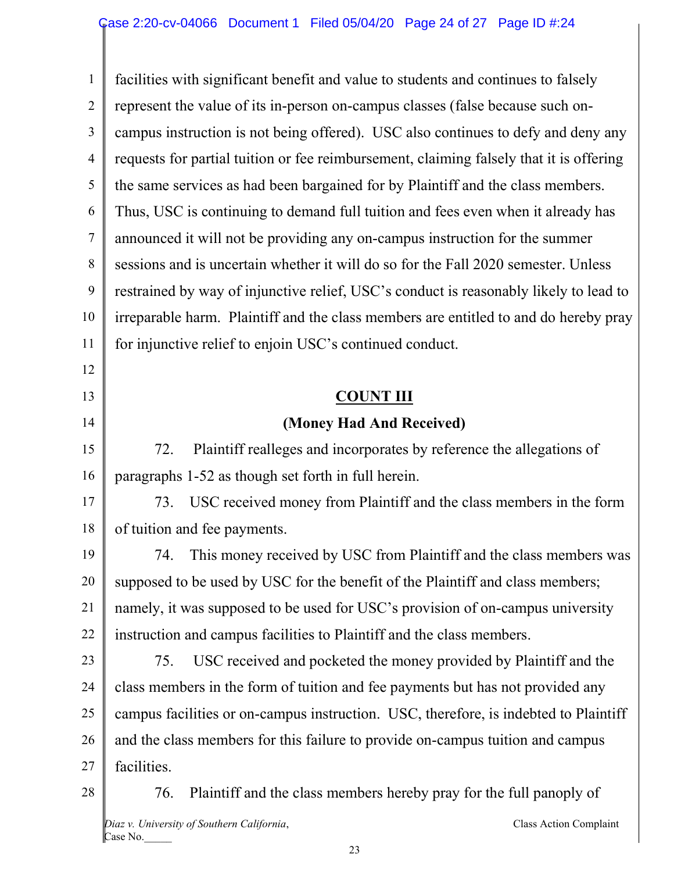1 2 3 4 5 6 7 8 9 10 11 12 13 14 15 16 17 18 19 20 21 22 23 24 25 26 27 28 facilities with significant benefit and value to students and continues to falsely represent the value of its in-person on-campus classes (false because such oncampus instruction is not being offered). USC also continues to defy and deny any requests for partial tuition or fee reimbursement, claiming falsely that it is offering the same services as had been bargained for by Plaintiff and the class members. Thus, USC is continuing to demand full tuition and fees even when it already has announced it will not be providing any on-campus instruction for the summer sessions and is uncertain whether it will do so for the Fall 2020 semester. Unless restrained by way of injunctive relief, USC's conduct is reasonably likely to lead to irreparable harm. Plaintiff and the class members are entitled to and do hereby pray for injunctive relief to enjoin USC's continued conduct. **COUNT III (Money Had And Received)**  72. Plaintiff realleges and incorporates by reference the allegations of paragraphs 1-52 as though set forth in full herein. 73. USC received money from Plaintiff and the class members in the form of tuition and fee payments. 74. This money received by USC from Plaintiff and the class members was supposed to be used by USC for the benefit of the Plaintiff and class members; namely, it was supposed to be used for USC's provision of on-campus university instruction and campus facilities to Plaintiff and the class members. 75. USC received and pocketed the money provided by Plaintiff and the class members in the form of tuition and fee payments but has not provided any campus facilities or on-campus instruction. USC, therefore, is indebted to Plaintiff and the class members for this failure to provide on-campus tuition and campus facilities. 76. Plaintiff and the class members hereby pray for the full panoply of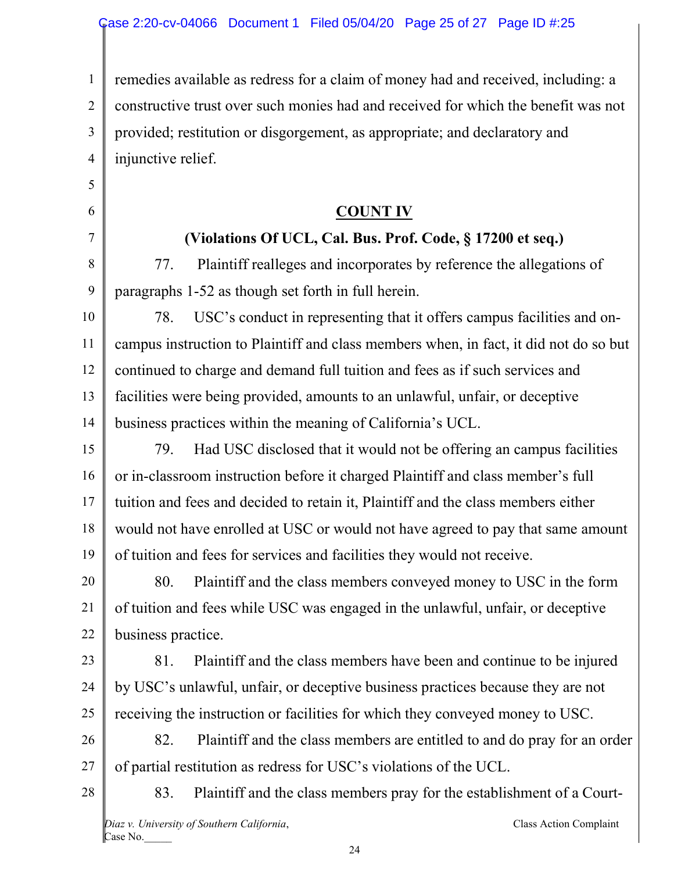1 2 3 4 remedies available as redress for a claim of money had and received, including: a constructive trust over such monies had and received for which the benefit was not provided; restitution or disgorgement, as appropriate; and declaratory and injunctive relief.

**COUNT IV** 

# **(Violations Of UCL, Cal. Bus. Prof. Code, § 17200 et seq.)**

77. Plaintiff realleges and incorporates by reference the allegations of paragraphs 1-52 as though set forth in full herein.

10 11 12 13 14 78. USC's conduct in representing that it offers campus facilities and oncampus instruction to Plaintiff and class members when, in fact, it did not do so but continued to charge and demand full tuition and fees as if such services and facilities were being provided, amounts to an unlawful, unfair, or deceptive business practices within the meaning of California's UCL.

15 16 17 18 19 79. Had USC disclosed that it would not be offering an campus facilities or in-classroom instruction before it charged Plaintiff and class member's full tuition and fees and decided to retain it, Plaintiff and the class members either would not have enrolled at USC or would not have agreed to pay that same amount of tuition and fees for services and facilities they would not receive.

20 21 22 80. Plaintiff and the class members conveyed money to USC in the form of tuition and fees while USC was engaged in the unlawful, unfair, or deceptive business practice.

23

24

25

5

6

7

8

9

81. Plaintiff and the class members have been and continue to be injured by USC's unlawful, unfair, or deceptive business practices because they are not receiving the instruction or facilities for which they conveyed money to USC.

26 27 82. Plaintiff and the class members are entitled to and do pray for an order of partial restitution as redress for USC's violations of the UCL.

83. Plaintiff and the class members pray for the establishment of a Court-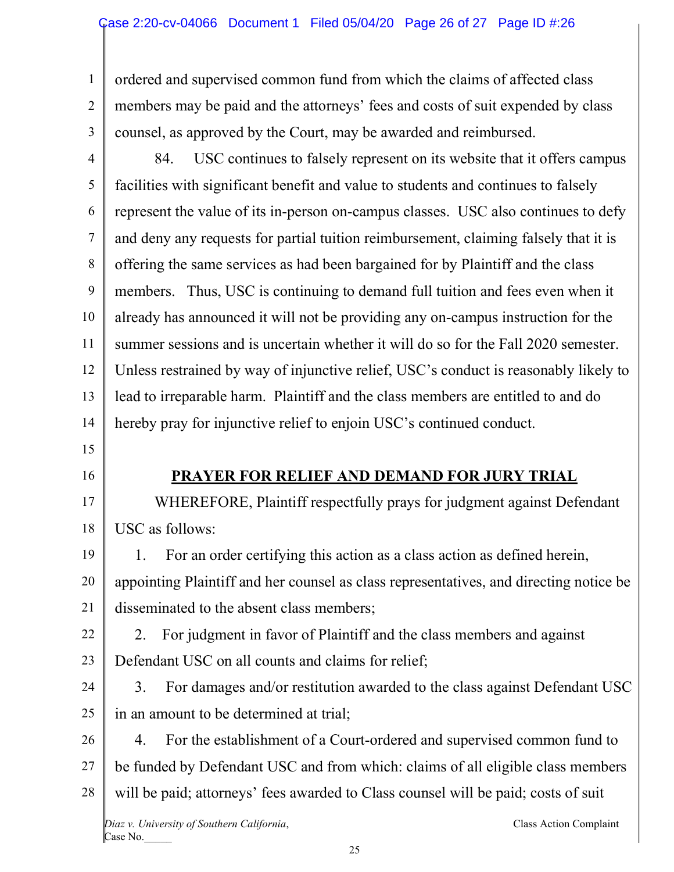1 2 3 ordered and supervised common fund from which the claims of affected class members may be paid and the attorneys' fees and costs of suit expended by class counsel, as approved by the Court, may be awarded and reimbursed.

4 5 6 7 8 9 10 11 12 13 14 84. USC continues to falsely represent on its website that it offers campus facilities with significant benefit and value to students and continues to falsely represent the value of its in-person on-campus classes. USC also continues to defy and deny any requests for partial tuition reimbursement, claiming falsely that it is offering the same services as had been bargained for by Plaintiff and the class members. Thus, USC is continuing to demand full tuition and fees even when it already has announced it will not be providing any on-campus instruction for the summer sessions and is uncertain whether it will do so for the Fall 2020 semester. Unless restrained by way of injunctive relief, USC's conduct is reasonably likely to lead to irreparable harm. Plaintiff and the class members are entitled to and do hereby pray for injunctive relief to enjoin USC's continued conduct.

- 15
- 16

#### **PRAYER FOR RELIEF AND DEMAND FOR JURY TRIAL**

17 18 WHEREFORE, Plaintiff respectfully prays for judgment against Defendant USC as follows:

19 20 21 1. For an order certifying this action as a class action as defined herein, appointing Plaintiff and her counsel as class representatives, and directing notice be disseminated to the absent class members;

22 23 2. For judgment in favor of Plaintiff and the class members and against Defendant USC on all counts and claims for relief;

24 25 3. For damages and/or restitution awarded to the class against Defendant USC in an amount to be determined at trial;

26 27 28 4. For the establishment of a Court-ordered and supervised common fund to be funded by Defendant USC and from which: claims of all eligible class members will be paid; attorneys' fees awarded to Class counsel will be paid; costs of suit